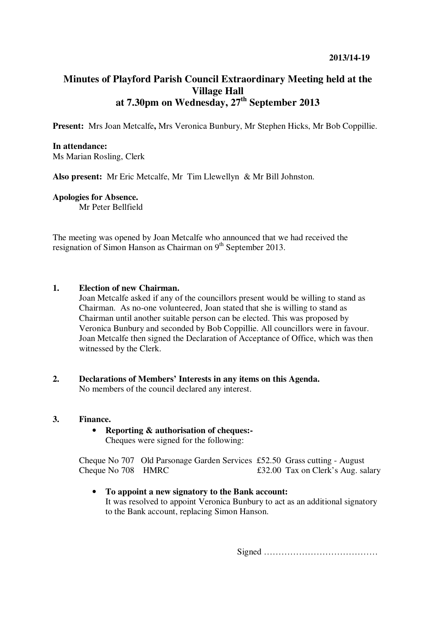# **Minutes of Playford Parish Council Extraordinary Meeting held at the Village Hall at 7.30pm on Wednesday, 27th September 2013**

**Present:** Mrs Joan Metcalfe**,** Mrs Veronica Bunbury, Mr Stephen Hicks, Mr Bob Coppillie.

#### **In attendance:**

Ms Marian Rosling, Clerk

**Also present:** Mr Eric Metcalfe, Mr Tim Llewellyn & Mr Bill Johnston.

#### **Apologies for Absence.**

Mr Peter Bellfield

The meeting was opened by Joan Metcalfe who announced that we had received the resignation of Simon Hanson as Chairman on  $9<sup>th</sup>$  September 2013.

## **1. Election of new Chairman.**

Joan Metcalfe asked if any of the councillors present would be willing to stand as Chairman. As no-one volunteered, Joan stated that she is willing to stand as Chairman until another suitable person can be elected. This was proposed by Veronica Bunbury and seconded by Bob Coppillie. All councillors were in favour. Joan Metcalfe then signed the Declaration of Acceptance of Office, which was then witnessed by the Clerk.

**2. Declarations of Members' Interests in any items on this Agenda.**  No members of the council declared any interest.

### **3. Finance.**

• **Reporting & authorisation of cheques:-**  Cheques were signed for the following:

Cheque No 707 Old Parsonage Garden Services £52.50 Grass cutting - August Cheque No 708 HMRC  $\qquad 232.00$  Tax on Clerk's Aug. salary

### • **To appoint a new signatory to the Bank account:**

It was resolved to appoint Veronica Bunbury to act as an additional signatory to the Bank account, replacing Simon Hanson.

Signed …………………………………